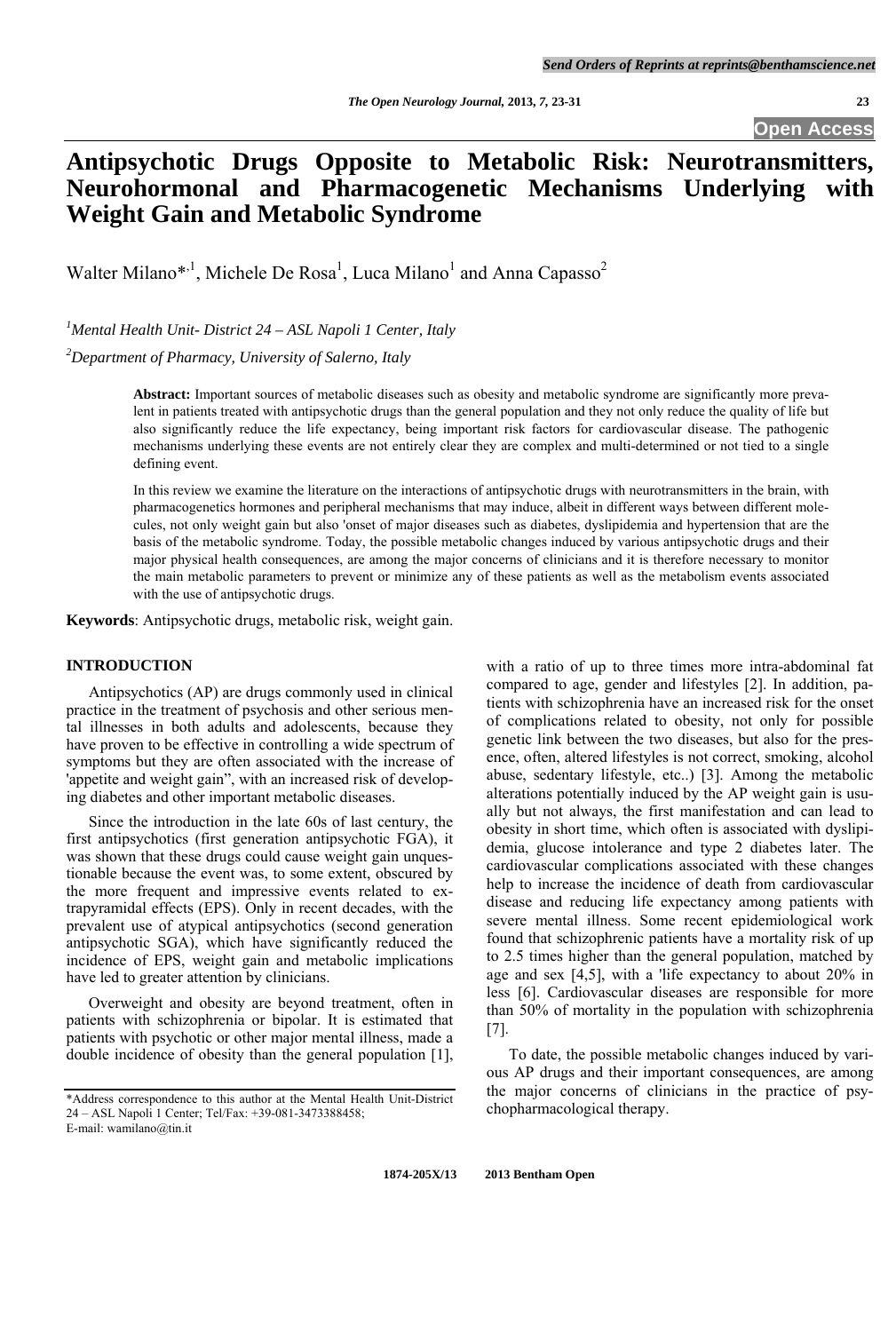**Open Access** 

# **Antipsychotic Drugs Opposite to Metabolic Risk: Neurotransmitters, Neurohormonal and Pharmacogenetic Mechanisms Underlying with Weight Gain and Metabolic Syndrome**

Walter Milano\*,<sup>1</sup>, Michele De Rosa<sup>1</sup>, Luca Milano<sup>1</sup> and Anna Capasso<sup>2</sup>

*1 Mental Health Unit- District 24 – ASL Napoli 1 Center, Italy* 

*2 Department of Pharmacy, University of Salerno, Italy* 

**Abstract:** Important sources of metabolic diseases such as obesity and metabolic syndrome are significantly more prevalent in patients treated with antipsychotic drugs than the general population and they not only reduce the quality of life but also significantly reduce the life expectancy, being important risk factors for cardiovascular disease. The pathogenic mechanisms underlying these events are not entirely clear they are complex and multi-determined or not tied to a single defining event.

In this review we examine the literature on the interactions of antipsychotic drugs with neurotransmitters in the brain, with pharmacogenetics hormones and peripheral mechanisms that may induce, albeit in different ways between different molecules, not only weight gain but also 'onset of major diseases such as diabetes, dyslipidemia and hypertension that are the basis of the metabolic syndrome. Today, the possible metabolic changes induced by various antipsychotic drugs and their major physical health consequences, are among the major concerns of clinicians and it is therefore necessary to monitor the main metabolic parameters to prevent or minimize any of these patients as well as the metabolism events associated with the use of antipsychotic drugs.

**Keywords**: Antipsychotic drugs, metabolic risk, weight gain.

# **INTRODUCTION**

 Antipsychotics (AP) are drugs commonly used in clinical practice in the treatment of psychosis and other serious mental illnesses in both adults and adolescents, because they have proven to be effective in controlling a wide spectrum of symptoms but they are often associated with the increase of 'appetite and weight gain", with an increased risk of developing diabetes and other important metabolic diseases.

 Since the introduction in the late 60s of last century, the first antipsychotics (first generation antipsychotic FGA), it was shown that these drugs could cause weight gain unquestionable because the event was, to some extent, obscured by the more frequent and impressive events related to extrapyramidal effects (EPS). Only in recent decades, with the prevalent use of atypical antipsychotics (second generation antipsychotic SGA), which have significantly reduced the incidence of EPS, weight gain and metabolic implications have led to greater attention by clinicians.

 Overweight and obesity are beyond treatment, often in patients with schizophrenia or bipolar. It is estimated that patients with psychotic or other major mental illness, made a double incidence of obesity than the general population [1],

with a ratio of up to three times more intra-abdominal fat compared to age, gender and lifestyles [2]. In addition, patients with schizophrenia have an increased risk for the onset of complications related to obesity, not only for possible genetic link between the two diseases, but also for the presence, often, altered lifestyles is not correct, smoking, alcohol abuse, sedentary lifestyle, etc..) [3]. Among the metabolic alterations potentially induced by the AP weight gain is usually but not always, the first manifestation and can lead to obesity in short time, which often is associated with dyslipidemia, glucose intolerance and type 2 diabetes later. The cardiovascular complications associated with these changes help to increase the incidence of death from cardiovascular disease and reducing life expectancy among patients with severe mental illness. Some recent epidemiological work found that schizophrenic patients have a mortality risk of up to 2.5 times higher than the general population, matched by age and sex [4,5], with a 'life expectancy to about 20% in less [6]. Cardiovascular diseases are responsible for more than 50% of mortality in the population with schizophrenia [7].

 To date, the possible metabolic changes induced by various AP drugs and their important consequences, are among the major concerns of clinicians in the practice of psychopharmacological therapy.

<sup>\*</sup>Address correspondence to this author at the Mental Health Unit-District 24 – ASL Napoli 1 Center; Tel/Fax: +39-081-3473388458;

E-mail: wamilano@tin.it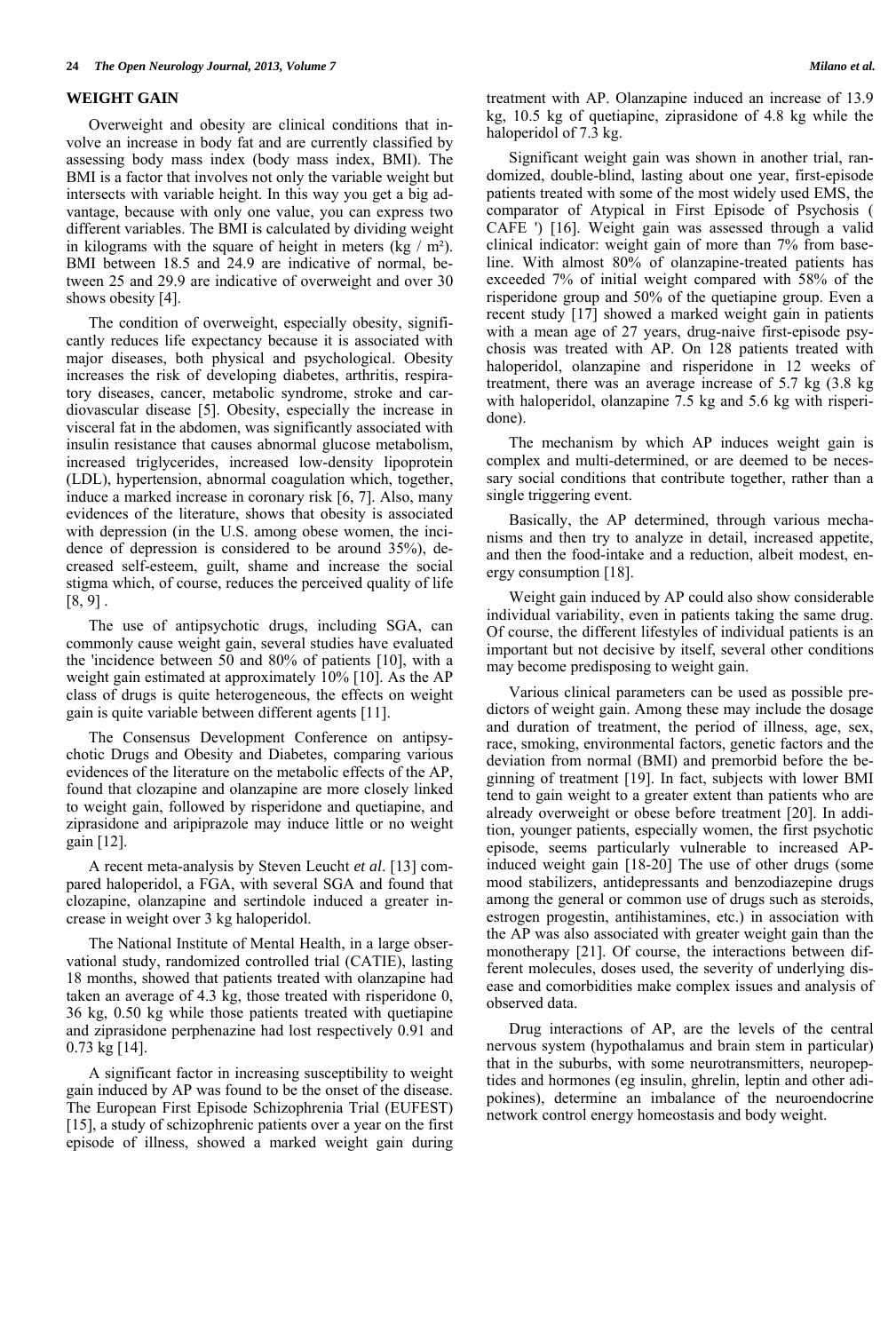# **WEIGHT GAIN**

 Overweight and obesity are clinical conditions that involve an increase in body fat and are currently classified by assessing body mass index (body mass index, BMI). The BMI is a factor that involves not only the variable weight but intersects with variable height. In this way you get a big advantage, because with only one value, you can express two different variables. The BMI is calculated by dividing weight in kilograms with the square of height in meters (kg  $/m<sup>2</sup>$ ). BMI between 18.5 and 24.9 are indicative of normal, between 25 and 29.9 are indicative of overweight and over 30 shows obesity [4].

 The condition of overweight, especially obesity, significantly reduces life expectancy because it is associated with major diseases, both physical and psychological. Obesity increases the risk of developing diabetes, arthritis, respiratory diseases, cancer, metabolic syndrome, stroke and cardiovascular disease [5]. Obesity, especially the increase in visceral fat in the abdomen, was significantly associated with insulin resistance that causes abnormal glucose metabolism, increased triglycerides, increased low-density lipoprotein (LDL), hypertension, abnormal coagulation which, together, induce a marked increase in coronary risk [6, 7]. Also, many evidences of the literature, shows that obesity is associated with depression (in the U.S. among obese women, the incidence of depression is considered to be around 35%), decreased self-esteem, guilt, shame and increase the social stigma which, of course, reduces the perceived quality of life  $[8, 9]$ .

 The use of antipsychotic drugs, including SGA, can commonly cause weight gain, several studies have evaluated the 'incidence between 50 and 80% of patients [10], with a weight gain estimated at approximately 10% [10]. As the AP class of drugs is quite heterogeneous, the effects on weight gain is quite variable between different agents [11].

 The Consensus Development Conference on antipsychotic Drugs and Obesity and Diabetes, comparing various evidences of the literature on the metabolic effects of the AP, found that clozapine and olanzapine are more closely linked to weight gain, followed by risperidone and quetiapine, and ziprasidone and aripiprazole may induce little or no weight gain [12].

 A recent meta-analysis by Steven Leucht *et al*. [13] compared haloperidol, a FGA, with several SGA and found that clozapine, olanzapine and sertindole induced a greater increase in weight over 3 kg haloperidol.

 The National Institute of Mental Health, in a large observational study, randomized controlled trial (CATIE), lasting 18 months, showed that patients treated with olanzapine had taken an average of 4.3 kg, those treated with risperidone 0, 36 kg, 0.50 kg while those patients treated with quetiapine and ziprasidone perphenazine had lost respectively 0.91 and 0.73 kg [14].

 A significant factor in increasing susceptibility to weight gain induced by AP was found to be the onset of the disease. The European First Episode Schizophrenia Trial (EUFEST) [15], a study of schizophrenic patients over a year on the first episode of illness, showed a marked weight gain during treatment with AP. Olanzapine induced an increase of 13.9 kg, 10.5 kg of quetiapine, ziprasidone of 4.8 kg while the haloperidol of 7.3 kg.

 Significant weight gain was shown in another trial, randomized, double-blind, lasting about one year, first-episode patients treated with some of the most widely used EMS, the comparator of Atypical in First Episode of Psychosis ( CAFE ') [16]. Weight gain was assessed through a valid clinical indicator: weight gain of more than 7% from baseline. With almost 80% of olanzapine-treated patients has exceeded 7% of initial weight compared with 58% of the risperidone group and 50% of the quetiapine group. Even a recent study [17] showed a marked weight gain in patients with a mean age of 27 years, drug-naive first-episode psychosis was treated with AP. On 128 patients treated with haloperidol, olanzapine and risperidone in 12 weeks of treatment, there was an average increase of 5.7 kg (3.8 kg with haloperidol, olanzapine 7.5 kg and 5.6 kg with risperidone).

 The mechanism by which AP induces weight gain is complex and multi-determined, or are deemed to be necessary social conditions that contribute together, rather than a single triggering event.

 Basically, the AP determined, through various mechanisms and then try to analyze in detail, increased appetite, and then the food-intake and a reduction, albeit modest, energy consumption [18].

 Weight gain induced by AP could also show considerable individual variability, even in patients taking the same drug. Of course, the different lifestyles of individual patients is an important but not decisive by itself, several other conditions may become predisposing to weight gain.

 Various clinical parameters can be used as possible predictors of weight gain. Among these may include the dosage and duration of treatment, the period of illness, age, sex, race, smoking, environmental factors, genetic factors and the deviation from normal (BMI) and premorbid before the beginning of treatment [19]. In fact, subjects with lower BMI tend to gain weight to a greater extent than patients who are already overweight or obese before treatment [20]. In addition, younger patients, especially women, the first psychotic episode, seems particularly vulnerable to increased APinduced weight gain [18-20] The use of other drugs (some mood stabilizers, antidepressants and benzodiazepine drugs among the general or common use of drugs such as steroids, estrogen progestin, antihistamines, etc.) in association with the AP was also associated with greater weight gain than the monotherapy [21]. Of course, the interactions between different molecules, doses used, the severity of underlying disease and comorbidities make complex issues and analysis of observed data.

 Drug interactions of AP, are the levels of the central nervous system (hypothalamus and brain stem in particular) that in the suburbs, with some neurotransmitters, neuropeptides and hormones (eg insulin, ghrelin, leptin and other adipokines), determine an imbalance of the neuroendocrine network control energy homeostasis and body weight.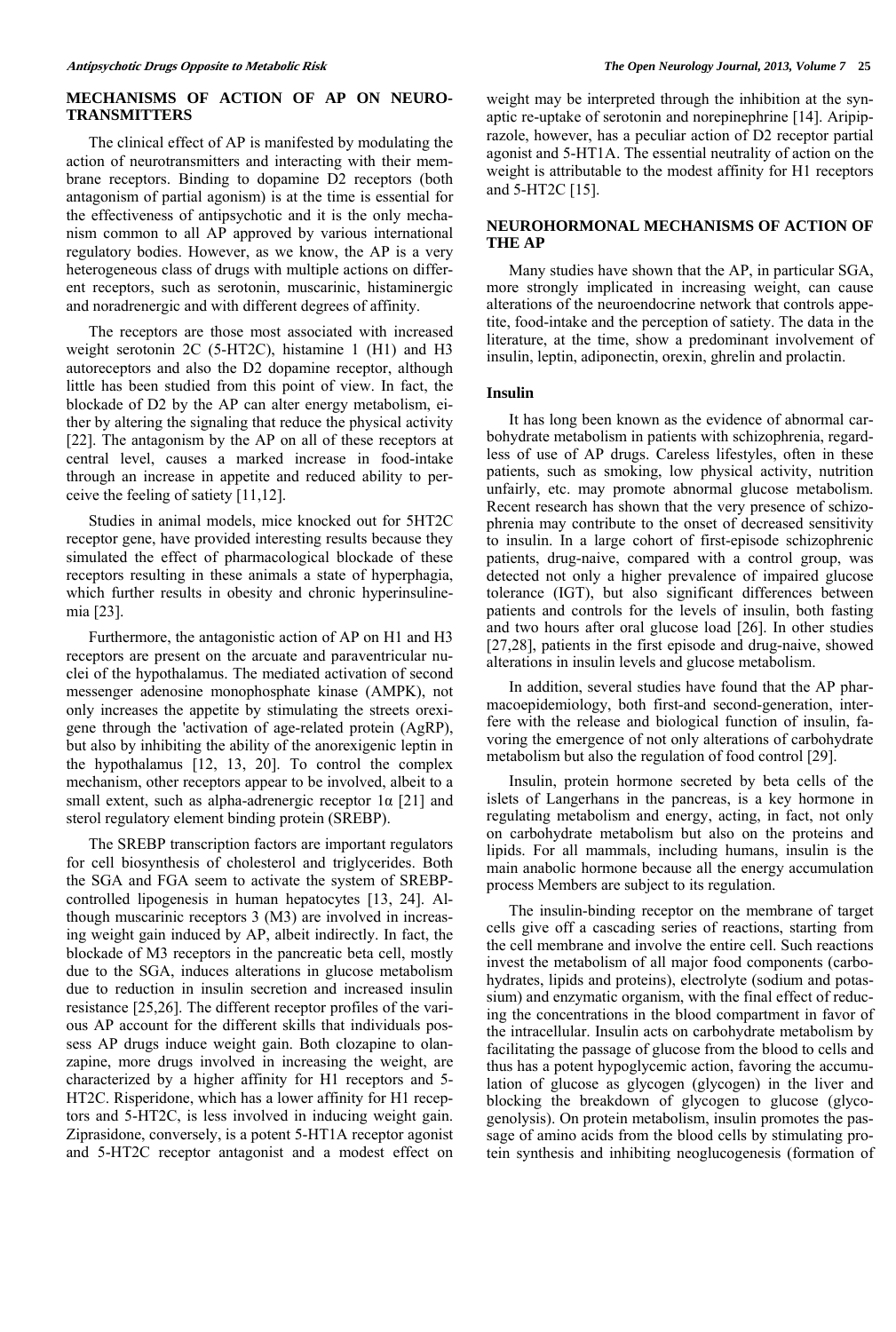#### **Antipsychotic Drugs Opposite to Metabolic Risk** *The Open Neurology Journal, 2013, Volume 7* **25**

# **MECHANISMS OF ACTION OF AP ON NEURO-TRANSMITTERS**

 The clinical effect of AP is manifested by modulating the action of neurotransmitters and interacting with their membrane receptors. Binding to dopamine D2 receptors (both antagonism of partial agonism) is at the time is essential for the effectiveness of antipsychotic and it is the only mechanism common to all AP approved by various international regulatory bodies. However, as we know, the AP is a very heterogeneous class of drugs with multiple actions on different receptors, such as serotonin, muscarinic, histaminergic and noradrenergic and with different degrees of affinity.

 The receptors are those most associated with increased weight serotonin 2C (5-HT2C), histamine 1 (H1) and H3 autoreceptors and also the D2 dopamine receptor, although little has been studied from this point of view. In fact, the blockade of D2 by the AP can alter energy metabolism, either by altering the signaling that reduce the physical activity [22]. The antagonism by the AP on all of these receptors at central level, causes a marked increase in food-intake through an increase in appetite and reduced ability to perceive the feeling of satiety [11,12].

 Studies in animal models, mice knocked out for 5HT2C receptor gene, have provided interesting results because they simulated the effect of pharmacological blockade of these receptors resulting in these animals a state of hyperphagia, which further results in obesity and chronic hyperinsulinemia [23].

 Furthermore, the antagonistic action of AP on H1 and H3 receptors are present on the arcuate and paraventricular nuclei of the hypothalamus. The mediated activation of second messenger adenosine monophosphate kinase (AMPK), not only increases the appetite by stimulating the streets orexigene through the 'activation of age-related protein (AgRP), but also by inhibiting the ability of the anorexigenic leptin in the hypothalamus [12, 13, 20]. To control the complex mechanism, other receptors appear to be involved, albeit to a small extent, such as alpha-adrenergic receptor  $1\alpha$  [21] and sterol regulatory element binding protein (SREBP).

 The SREBP transcription factors are important regulators for cell biosynthesis of cholesterol and triglycerides. Both the SGA and FGA seem to activate the system of SREBPcontrolled lipogenesis in human hepatocytes [13, 24]. Although muscarinic receptors 3 (M3) are involved in increasing weight gain induced by AP, albeit indirectly. In fact, the blockade of M3 receptors in the pancreatic beta cell, mostly due to the SGA, induces alterations in glucose metabolism due to reduction in insulin secretion and increased insulin resistance [25,26]. The different receptor profiles of the various AP account for the different skills that individuals possess AP drugs induce weight gain. Both clozapine to olanzapine, more drugs involved in increasing the weight, are characterized by a higher affinity for H1 receptors and 5- HT2C. Risperidone, which has a lower affinity for H1 receptors and 5-HT2C, is less involved in inducing weight gain. Ziprasidone, conversely, is a potent 5-HT1A receptor agonist and 5-HT2C receptor antagonist and a modest effect on

weight may be interpreted through the inhibition at the synaptic re-uptake of serotonin and norepinephrine [14]. Aripiprazole, however, has a peculiar action of D2 receptor partial agonist and 5-HT1A. The essential neutrality of action on the weight is attributable to the modest affinity for H1 receptors and 5-HT2C [15].

# **NEUROHORMONAL MECHANISMS OF ACTION OF THE AP**

 Many studies have shown that the AP, in particular SGA, more strongly implicated in increasing weight, can cause alterations of the neuroendocrine network that controls appetite, food-intake and the perception of satiety. The data in the literature, at the time, show a predominant involvement of insulin, leptin, adiponectin, orexin, ghrelin and prolactin.

#### **Insulin**

 It has long been known as the evidence of abnormal carbohydrate metabolism in patients with schizophrenia, regardless of use of AP drugs. Careless lifestyles, often in these patients, such as smoking, low physical activity, nutrition unfairly, etc. may promote abnormal glucose metabolism. Recent research has shown that the very presence of schizophrenia may contribute to the onset of decreased sensitivity to insulin. In a large cohort of first-episode schizophrenic patients, drug-naive, compared with a control group, was detected not only a higher prevalence of impaired glucose tolerance (IGT), but also significant differences between patients and controls for the levels of insulin, both fasting and two hours after oral glucose load [26]. In other studies [27,28], patients in the first episode and drug-naive, showed alterations in insulin levels and glucose metabolism.

 In addition, several studies have found that the AP pharmacoepidemiology, both first-and second-generation, interfere with the release and biological function of insulin, favoring the emergence of not only alterations of carbohydrate metabolism but also the regulation of food control [29].

 Insulin, protein hormone secreted by beta cells of the islets of Langerhans in the pancreas, is a key hormone in regulating metabolism and energy, acting, in fact, not only on carbohydrate metabolism but also on the proteins and lipids. For all mammals, including humans, insulin is the main anabolic hormone because all the energy accumulation process Members are subject to its regulation.

 The insulin-binding receptor on the membrane of target cells give off a cascading series of reactions, starting from the cell membrane and involve the entire cell. Such reactions invest the metabolism of all major food components (carbohydrates, lipids and proteins), electrolyte (sodium and potassium) and enzymatic organism, with the final effect of reducing the concentrations in the blood compartment in favor of the intracellular. Insulin acts on carbohydrate metabolism by facilitating the passage of glucose from the blood to cells and thus has a potent hypoglycemic action, favoring the accumulation of glucose as glycogen (glycogen) in the liver and blocking the breakdown of glycogen to glucose (glycogenolysis). On protein metabolism, insulin promotes the passage of amino acids from the blood cells by stimulating protein synthesis and inhibiting neoglucogenesis (formation of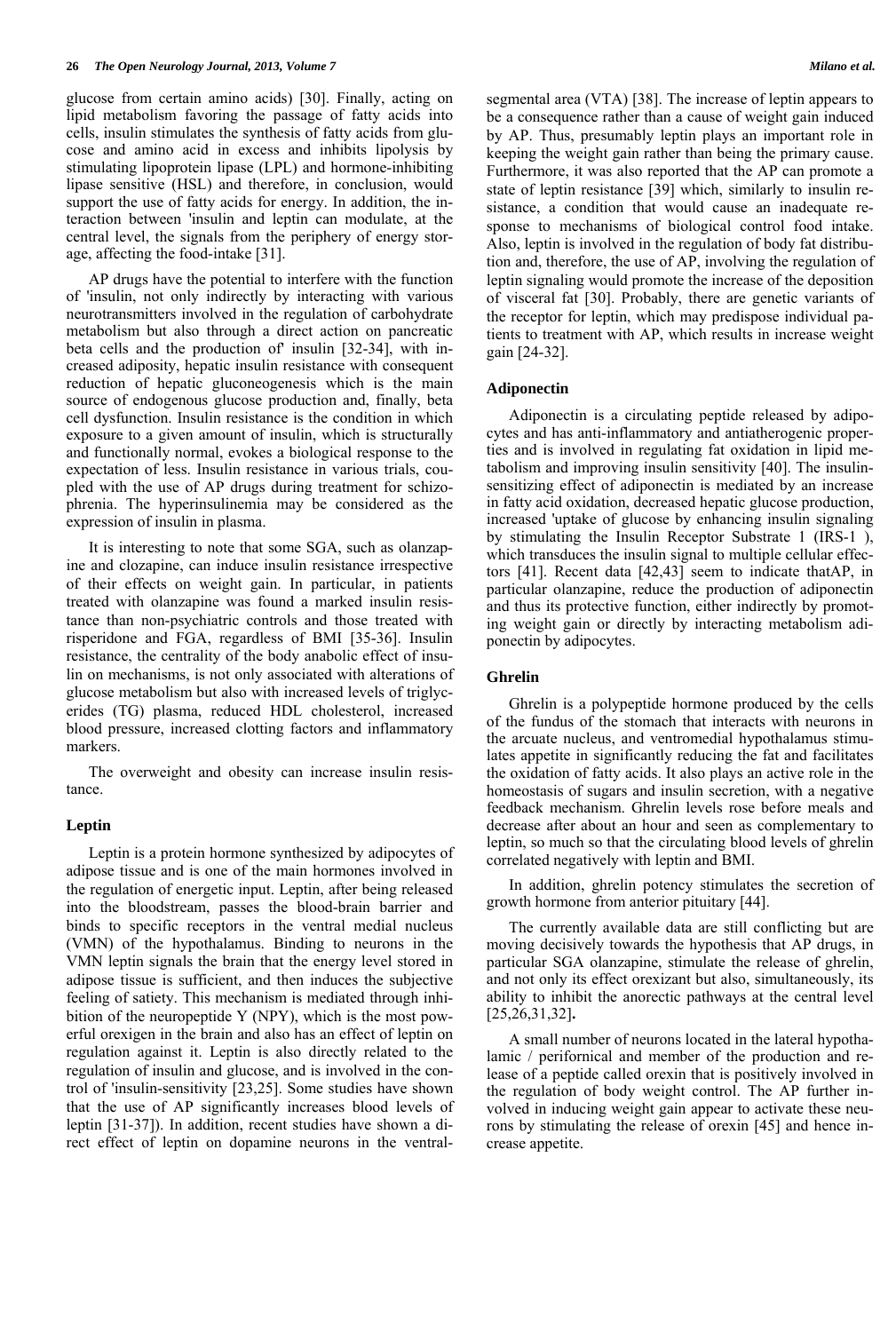glucose from certain amino acids) [30]. Finally, acting on lipid metabolism favoring the passage of fatty acids into cells, insulin stimulates the synthesis of fatty acids from glucose and amino acid in excess and inhibits lipolysis by stimulating lipoprotein lipase (LPL) and hormone-inhibiting lipase sensitive (HSL) and therefore, in conclusion, would support the use of fatty acids for energy. In addition, the interaction between 'insulin and leptin can modulate, at the central level, the signals from the periphery of energy storage, affecting the food-intake [31].

 AP drugs have the potential to interfere with the function of 'insulin, not only indirectly by interacting with various neurotransmitters involved in the regulation of carbohydrate metabolism but also through a direct action on pancreatic beta cells and the production of' insulin [32-34], with increased adiposity, hepatic insulin resistance with consequent reduction of hepatic gluconeogenesis which is the main source of endogenous glucose production and, finally, beta cell dysfunction. Insulin resistance is the condition in which exposure to a given amount of insulin, which is structurally and functionally normal, evokes a biological response to the expectation of less. Insulin resistance in various trials, coupled with the use of AP drugs during treatment for schizophrenia. The hyperinsulinemia may be considered as the expression of insulin in plasma.

 It is interesting to note that some SGA, such as olanzapine and clozapine, can induce insulin resistance irrespective of their effects on weight gain. In particular, in patients treated with olanzapine was found a marked insulin resistance than non-psychiatric controls and those treated with risperidone and FGA, regardless of BMI [35-36]. Insulin resistance, the centrality of the body anabolic effect of insulin on mechanisms, is not only associated with alterations of glucose metabolism but also with increased levels of triglycerides (TG) plasma, reduced HDL cholesterol, increased blood pressure, increased clotting factors and inflammatory markers.

 The overweight and obesity can increase insulin resistance.

# **Leptin**

 Leptin is a protein hormone synthesized by adipocytes of adipose tissue and is one of the main hormones involved in the regulation of energetic input. Leptin, after being released into the bloodstream, passes the blood-brain barrier and binds to specific receptors in the ventral medial nucleus (VMN) of the hypothalamus. Binding to neurons in the VMN leptin signals the brain that the energy level stored in adipose tissue is sufficient, and then induces the subjective feeling of satiety. This mechanism is mediated through inhibition of the neuropeptide Y (NPY), which is the most powerful orexigen in the brain and also has an effect of leptin on regulation against it. Leptin is also directly related to the regulation of insulin and glucose, and is involved in the control of 'insulin-sensitivity [23,25]. Some studies have shown that the use of AP significantly increases blood levels of leptin [31-37]). In addition, recent studies have shown a direct effect of leptin on dopamine neurons in the ventralsegmental area (VTA) [38]. The increase of leptin appears to be a consequence rather than a cause of weight gain induced by AP. Thus, presumably leptin plays an important role in keeping the weight gain rather than being the primary cause. Furthermore, it was also reported that the AP can promote a state of leptin resistance [39] which, similarly to insulin resistance, a condition that would cause an inadequate response to mechanisms of biological control food intake. Also, leptin is involved in the regulation of body fat distribution and, therefore, the use of AP, involving the regulation of leptin signaling would promote the increase of the deposition of visceral fat [30]. Probably, there are genetic variants of the receptor for leptin, which may predispose individual patients to treatment with AP, which results in increase weight gain [24-32].

#### **Adiponectin**

 Adiponectin is a circulating peptide released by adipocytes and has anti-inflammatory and antiatherogenic properties and is involved in regulating fat oxidation in lipid metabolism and improving insulin sensitivity [40]. The insulinsensitizing effect of adiponectin is mediated by an increase in fatty acid oxidation, decreased hepatic glucose production, increased 'uptake of glucose by enhancing insulin signaling by stimulating the Insulin Receptor Substrate 1 (IRS-1 ), which transduces the insulin signal to multiple cellular effectors [41]. Recent data [42,43] seem to indicate thatAP, in particular olanzapine, reduce the production of adiponectin and thus its protective function, either indirectly by promoting weight gain or directly by interacting metabolism adiponectin by adipocytes.

#### **Ghrelin**

 Ghrelin is a polypeptide hormone produced by the cells of the fundus of the stomach that interacts with neurons in the arcuate nucleus, and ventromedial hypothalamus stimulates appetite in significantly reducing the fat and facilitates the oxidation of fatty acids. It also plays an active role in the homeostasis of sugars and insulin secretion, with a negative feedback mechanism. Ghrelin levels rose before meals and decrease after about an hour and seen as complementary to leptin, so much so that the circulating blood levels of ghrelin correlated negatively with leptin and BMI.

 In addition, ghrelin potency stimulates the secretion of growth hormone from anterior pituitary [44].

 The currently available data are still conflicting but are moving decisively towards the hypothesis that AP drugs, in particular SGA olanzapine, stimulate the release of ghrelin, and not only its effect orexizant but also, simultaneously, its ability to inhibit the anorectic pathways at the central level [25,26,31,32]**.** 

 A small number of neurons located in the lateral hypothalamic / perifornical and member of the production and release of a peptide called orexin that is positively involved in the regulation of body weight control. The AP further involved in inducing weight gain appear to activate these neurons by stimulating the release of orexin [45] and hence increase appetite.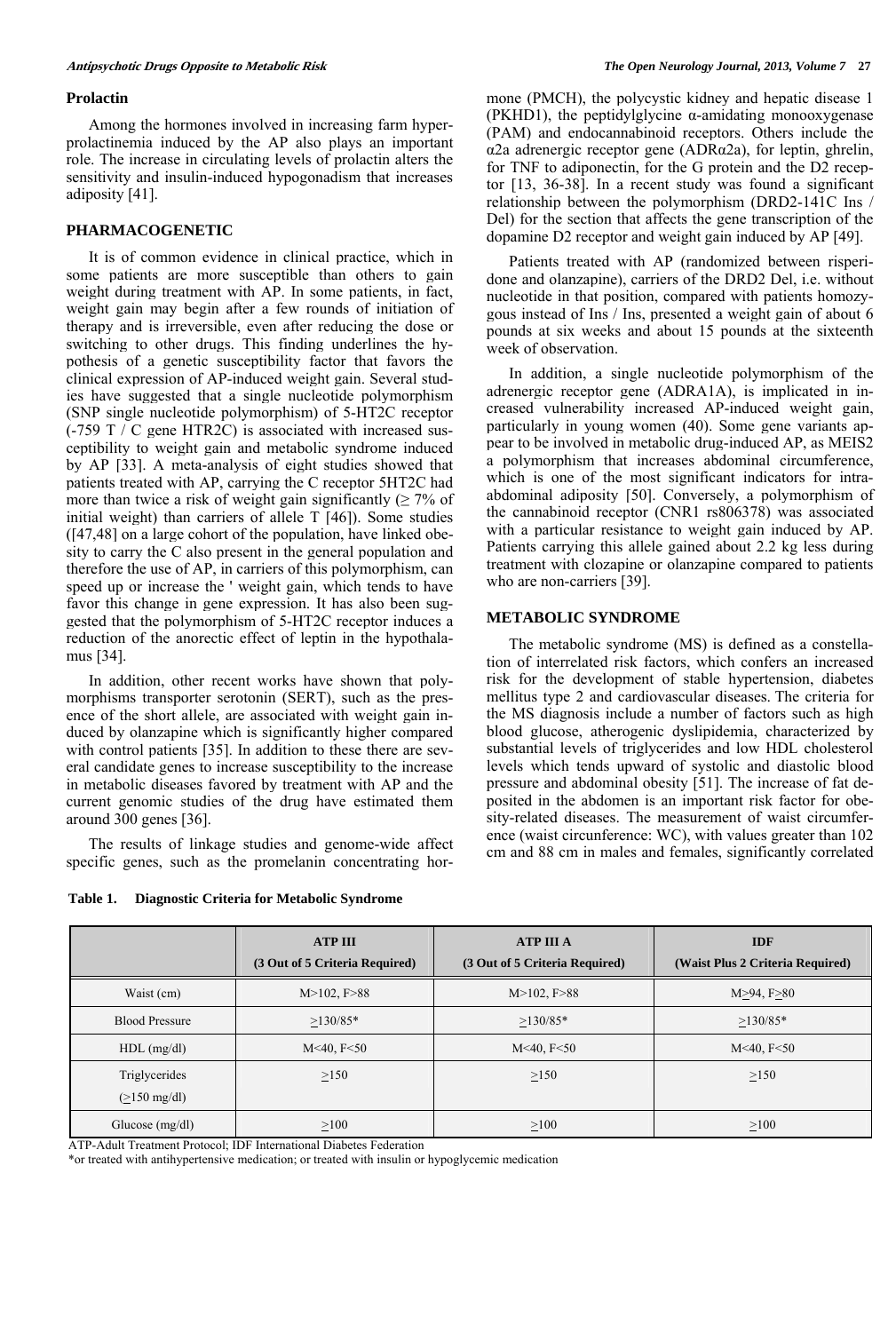#### **Antipsychotic Drugs Opposite to Metabolic Risk** *The Open Neurology Journal, 2013, Volume 7* **27**

# **Prolactin**

 Among the hormones involved in increasing farm hyperprolactinemia induced by the AP also plays an important role. The increase in circulating levels of prolactin alters the sensitivity and insulin-induced hypogonadism that increases adiposity [41].

# **PHARMACOGENETIC**

 It is of common evidence in clinical practice, which in some patients are more susceptible than others to gain weight during treatment with AP. In some patients, in fact, weight gain may begin after a few rounds of initiation of therapy and is irreversible, even after reducing the dose or switching to other drugs. This finding underlines the hypothesis of a genetic susceptibility factor that favors the clinical expression of AP-induced weight gain. Several studies have suggested that a single nucleotide polymorphism (SNP single nucleotide polymorphism) of 5-HT2C receptor  $(-759 \text{ T} / C)$  gene HTR2C) is associated with increased susceptibility to weight gain and metabolic syndrome induced by AP [33]. A meta-analysis of eight studies showed that patients treated with AP, carrying the C receptor 5HT2C had more than twice a risk of weight gain significantly  $(≥ 7%$  of initial weight) than carriers of allele  $T$  [46]). Some studies ([47,48] on a large cohort of the population, have linked obesity to carry the C also present in the general population and therefore the use of AP, in carriers of this polymorphism, can speed up or increase the ' weight gain, which tends to have favor this change in gene expression. It has also been suggested that the polymorphism of 5-HT2C receptor induces a reduction of the anorectic effect of leptin in the hypothalamus [34].

 In addition, other recent works have shown that polymorphisms transporter serotonin (SERT), such as the presence of the short allele, are associated with weight gain induced by olanzapine which is significantly higher compared with control patients [35]. In addition to these there are several candidate genes to increase susceptibility to the increase in metabolic diseases favored by treatment with AP and the current genomic studies of the drug have estimated them around 300 genes [36].

 The results of linkage studies and genome-wide affect specific genes, such as the promelanin concentrating hormone (PMCH), the polycystic kidney and hepatic disease 1 (PKHD1), the peptidylglycine  $\alpha$ -amidating monooxygenase (PAM) and endocannabinoid receptors. Others include the α2a adrenergic receptor gene (ADRα2a), for leptin, ghrelin, for TNF to adiponectin, for the G protein and the D2 receptor [13, 36-38]. In a recent study was found a significant relationship between the polymorphism (DRD2-141C Ins / Del) for the section that affects the gene transcription of the dopamine D2 receptor and weight gain induced by AP [49].

 Patients treated with AP (randomized between risperidone and olanzapine), carriers of the DRD2 Del, i.e. without nucleotide in that position, compared with patients homozygous instead of Ins / Ins, presented a weight gain of about 6 pounds at six weeks and about 15 pounds at the sixteenth week of observation.

 In addition, a single nucleotide polymorphism of the adrenergic receptor gene (ADRA1A), is implicated in increased vulnerability increased AP-induced weight gain, particularly in young women (40). Some gene variants appear to be involved in metabolic drug-induced AP, as MEIS2 a polymorphism that increases abdominal circumference, which is one of the most significant indicators for intraabdominal adiposity [50]. Conversely, a polymorphism of the cannabinoid receptor (CNR1 rs806378) was associated with a particular resistance to weight gain induced by AP. Patients carrying this allele gained about 2.2 kg less during treatment with clozapine or olanzapine compared to patients who are non-carriers [39].

# **METABOLIC SYNDROME**

 The metabolic syndrome (MS) is defined as a constellation of interrelated risk factors, which confers an increased risk for the development of stable hypertension, diabetes mellitus type 2 and cardiovascular diseases. The criteria for the MS diagnosis include a number of factors such as high blood glucose, atherogenic dyslipidemia, characterized by substantial levels of triglycerides and low HDL cholesterol levels which tends upward of systolic and diastolic blood pressure and abdominal obesity [51]. The increase of fat deposited in the abdomen is an important risk factor for obesity-related diseases. The measurement of waist circumference (waist circunference: WC), with values greater than 102 cm and 88 cm in males and females, significantly correlated

|                                         | <b>ATP III</b><br>(3 Out of 5 Criteria Required) | <b>ATP III A</b><br>(3 Out of 5 Criteria Required) | <b>IDF</b><br>(Waist Plus 2 Criteria Required) |
|-----------------------------------------|--------------------------------------------------|----------------------------------------------------|------------------------------------------------|
| Waist (cm)                              | M > 102, F > 88                                  | M > 102, F > 88                                    | M > 94, F > 80                                 |
| <b>Blood Pressure</b>                   | $>130/85*$                                       | $>130/85*$                                         | $>130/85*$                                     |
| $HDL$ (mg/dl)                           | M<40, F<50                                       | M<40, F<50                                         | $M<$ 40, F $<$ 50                              |
| Triglycerides<br>$(>150 \text{ mg/dl})$ | >150                                             | >150                                               | >150                                           |
| Glucose $(mg/dl)$                       | >100                                             | >100                                               | >100                                           |

**Table 1. Diagnostic Criteria for Metabolic Syndrome** 

ATP-Adult Treatment Protocol; IDF International Diabetes Federation

\*or treated with antihypertensive medication; or treated with insulin or hypoglycemic medication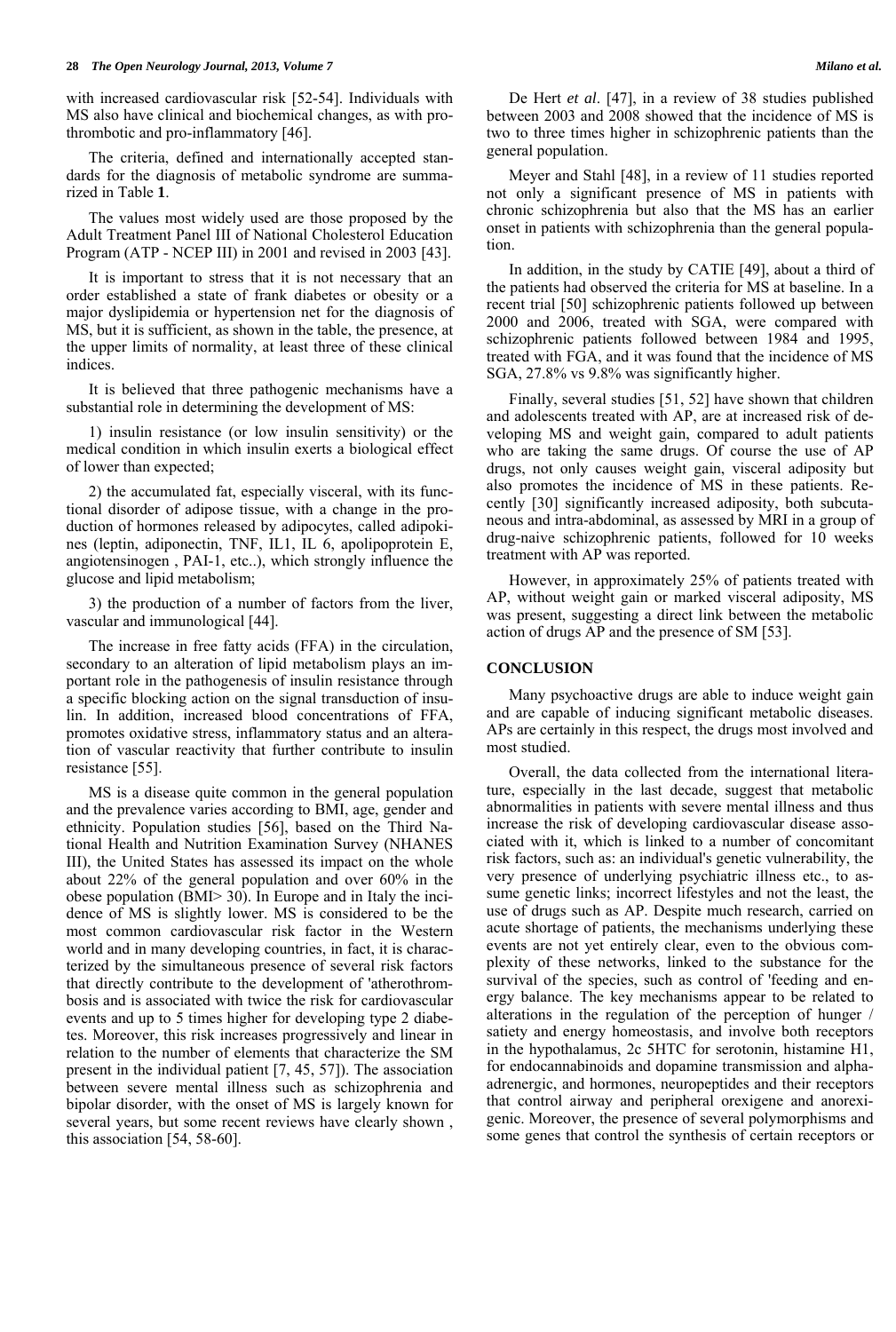with increased cardiovascular risk [52-54]. Individuals with MS also have clinical and biochemical changes, as with prothrombotic and pro-inflammatory [46].

 The criteria, defined and internationally accepted standards for the diagnosis of metabolic syndrome are summarized in Table **1**.

 The values most widely used are those proposed by the Adult Treatment Panel III of National Cholesterol Education Program (ATP - NCEP III) in 2001 and revised in 2003 [43].

 It is important to stress that it is not necessary that an order established a state of frank diabetes or obesity or a major dyslipidemia or hypertension net for the diagnosis of MS, but it is sufficient, as shown in the table, the presence, at the upper limits of normality, at least three of these clinical indices.

 It is believed that three pathogenic mechanisms have a substantial role in determining the development of MS:

 1) insulin resistance (or low insulin sensitivity) or the medical condition in which insulin exerts a biological effect of lower than expected;

 2) the accumulated fat, especially visceral, with its functional disorder of adipose tissue, with a change in the production of hormones released by adipocytes, called adipokines (leptin, adiponectin, TNF, IL1, IL 6, apolipoprotein E, angiotensinogen , PAI-1, etc..), which strongly influence the glucose and lipid metabolism;

 3) the production of a number of factors from the liver, vascular and immunological [44].

 The increase in free fatty acids (FFA) in the circulation, secondary to an alteration of lipid metabolism plays an important role in the pathogenesis of insulin resistance through a specific blocking action on the signal transduction of insulin. In addition, increased blood concentrations of FFA, promotes oxidative stress, inflammatory status and an alteration of vascular reactivity that further contribute to insulin resistance [55].

 MS is a disease quite common in the general population and the prevalence varies according to BMI, age, gender and ethnicity. Population studies [56], based on the Third National Health and Nutrition Examination Survey (NHANES III), the United States has assessed its impact on the whole about 22% of the general population and over 60% in the obese population (BMI> 30). In Europe and in Italy the incidence of MS is slightly lower. MS is considered to be the most common cardiovascular risk factor in the Western world and in many developing countries, in fact, it is characterized by the simultaneous presence of several risk factors that directly contribute to the development of 'atherothrombosis and is associated with twice the risk for cardiovascular events and up to 5 times higher for developing type 2 diabetes. Moreover, this risk increases progressively and linear in relation to the number of elements that characterize the SM present in the individual patient [7, 45, 57]). The association between severe mental illness such as schizophrenia and bipolar disorder, with the onset of MS is largely known for several years, but some recent reviews have clearly shown , this association [54, 58-60].

 De Hert *et al*. [47], in a review of 38 studies published between 2003 and 2008 showed that the incidence of MS is two to three times higher in schizophrenic patients than the general population.

 Meyer and Stahl [48], in a review of 11 studies reported not only a significant presence of MS in patients with chronic schizophrenia but also that the MS has an earlier onset in patients with schizophrenia than the general population.

 In addition, in the study by CATIE [49], about a third of the patients had observed the criteria for MS at baseline. In a recent trial [50] schizophrenic patients followed up between 2000 and 2006, treated with SGA, were compared with schizophrenic patients followed between 1984 and 1995, treated with FGA, and it was found that the incidence of MS SGA, 27.8% vs 9.8% was significantly higher.

 Finally, several studies [51, 52] have shown that children and adolescents treated with AP, are at increased risk of developing MS and weight gain, compared to adult patients who are taking the same drugs. Of course the use of AP drugs, not only causes weight gain, visceral adiposity but also promotes the incidence of MS in these patients. Recently [30] significantly increased adiposity, both subcutaneous and intra-abdominal, as assessed by MRI in a group of drug-naive schizophrenic patients, followed for 10 weeks treatment with AP was reported.

 However, in approximately 25% of patients treated with AP, without weight gain or marked visceral adiposity, MS was present, suggesting a direct link between the metabolic action of drugs AP and the presence of SM [53].

#### **CONCLUSION**

 Many psychoactive drugs are able to induce weight gain and are capable of inducing significant metabolic diseases. APs are certainly in this respect, the drugs most involved and most studied.

 Overall, the data collected from the international literature, especially in the last decade, suggest that metabolic abnormalities in patients with severe mental illness and thus increase the risk of developing cardiovascular disease associated with it, which is linked to a number of concomitant risk factors, such as: an individual's genetic vulnerability, the very presence of underlying psychiatric illness etc., to assume genetic links; incorrect lifestyles and not the least, the use of drugs such as AP. Despite much research, carried on acute shortage of patients, the mechanisms underlying these events are not yet entirely clear, even to the obvious complexity of these networks, linked to the substance for the survival of the species, such as control of 'feeding and energy balance. The key mechanisms appear to be related to alterations in the regulation of the perception of hunger / satiety and energy homeostasis, and involve both receptors in the hypothalamus, 2c 5HTC for serotonin, histamine H1, for endocannabinoids and dopamine transmission and alphaadrenergic, and hormones, neuropeptides and their receptors that control airway and peripheral orexigene and anorexigenic. Moreover, the presence of several polymorphisms and some genes that control the synthesis of certain receptors or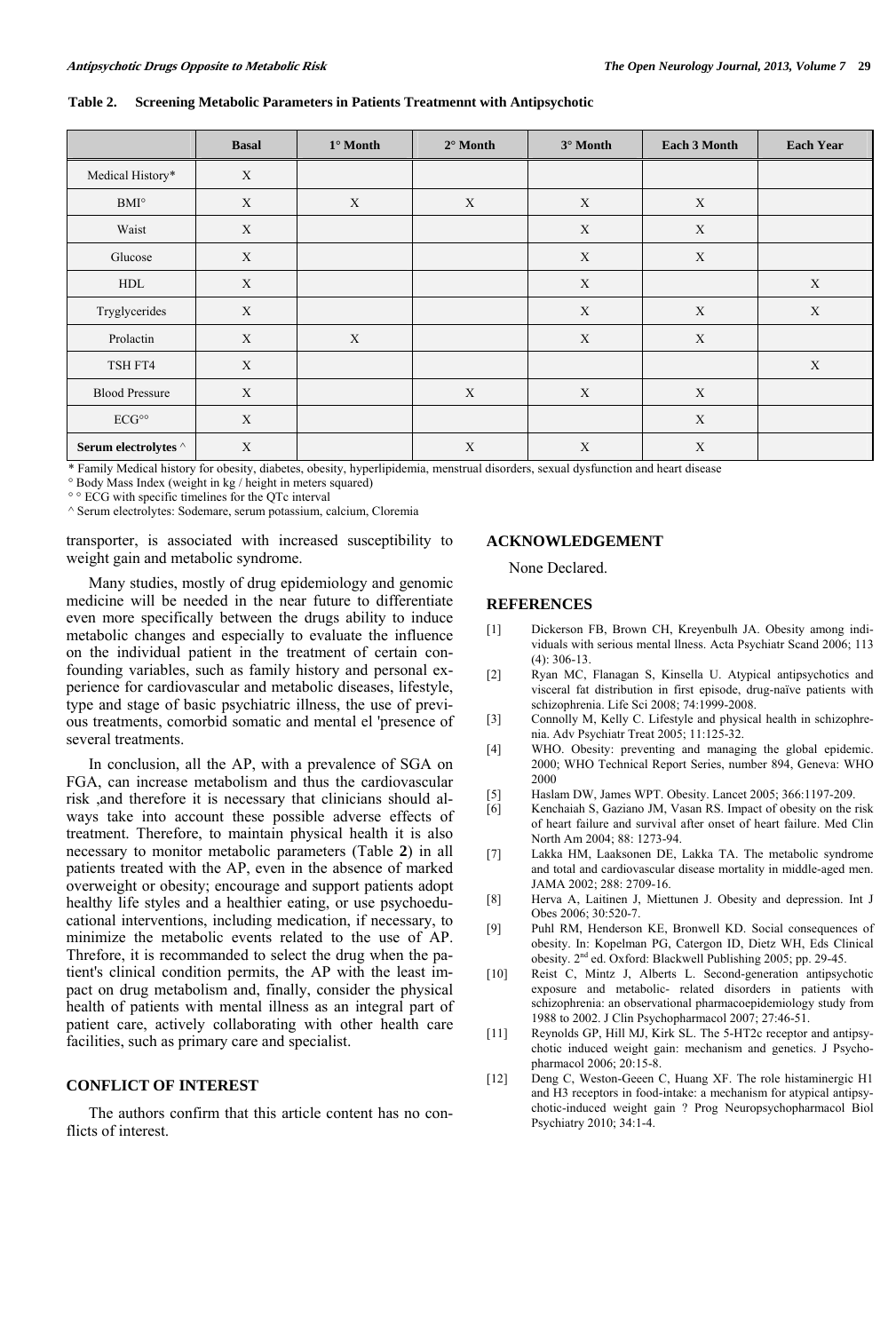# **Table 2. Screening Metabolic Parameters in Patients Treatmennt with Antipsychotic**

|                              | <b>Basal</b>              | $1^\circ$ Month | $2^{\circ}$ Month | $3^\circ$ Month | Each 3 Month              | <b>Each Year</b>          |
|------------------------------|---------------------------|-----------------|-------------------|-----------------|---------------------------|---------------------------|
| Medical History*             | $\mathbf X$               |                 |                   |                 |                           |                           |
| $\mathrm{BMI}^\circ$         | $\mathbf X$               | $\mathbf X$     | $\mathbf X$       | X               | $\boldsymbol{\mathrm{X}}$ |                           |
| Waist                        | $\mathbf X$               |                 |                   | X               | $\boldsymbol{\mathrm{X}}$ |                           |
| Glucose                      | $\mathbf X$               |                 |                   | $\mathbf X$     | $\boldsymbol{\mathrm{X}}$ |                           |
| HDL                          | $\mathbf X$               |                 |                   | $\mathbf X$     |                           | $\mathbf X$               |
| Tryglycerides                | X                         |                 |                   | X               | $\boldsymbol{\mathrm{X}}$ | $\boldsymbol{\mathrm{X}}$ |
| Prolactin                    | X                         | $\mathbf{X}$    |                   | X               | $\mathbf{X}$              |                           |
| TSH FT4                      | $\boldsymbol{X}$          |                 |                   |                 |                           | $\boldsymbol{\mathrm{X}}$ |
| <b>Blood Pressure</b>        | $\mathbf X$               |                 | $\mathbf X$       | $\mathbf X$     | $\boldsymbol{\mathrm{X}}$ |                           |
| $\text{ECG}^{\circ\circ}$    | $\mathbf X$               |                 |                   |                 | $\mathbf X$               |                           |
| Serum electrolytes $^\wedge$ | $\boldsymbol{\mathrm{X}}$ |                 | $\mathbf X$       | $\mathbf X$     | $\boldsymbol{X}$          |                           |

\* Family Medical history for obesity, diabetes, obesity, hyperlipidemia, menstrual disorders, sexual dysfunction and heart disease

° Body Mass Index (weight in kg / height in meters squared)

° ° ECG with specific timelines for the QTc interval

^ Serum electrolytes: Sodemare, serum potassium, calcium, Cloremia

transporter, is associated with increased susceptibility to weight gain and metabolic syndrome.

 Many studies, mostly of drug epidemiology and genomic medicine will be needed in the near future to differentiate even more specifically between the drugs ability to induce metabolic changes and especially to evaluate the influence on the individual patient in the treatment of certain confounding variables, such as family history and personal experience for cardiovascular and metabolic diseases, lifestyle, type and stage of basic psychiatric illness, the use of previous treatments, comorbid somatic and mental el 'presence of several treatments.

 In conclusion, all the AP, with a prevalence of SGA on FGA, can increase metabolism and thus the cardiovascular risk ,and therefore it is necessary that clinicians should always take into account these possible adverse effects of treatment. Therefore, to maintain physical health it is also necessary to monitor metabolic parameters (Table **2**) in all patients treated with the AP, even in the absence of marked overweight or obesity; encourage and support patients adopt healthy life styles and a healthier eating, or use psychoeducational interventions, including medication, if necessary, to minimize the metabolic events related to the use of AP. Threfore, it is recommanded to select the drug when the patient's clinical condition permits, the AP with the least impact on drug metabolism and, finally, consider the physical health of patients with mental illness as an integral part of patient care, actively collaborating with other health care facilities, such as primary care and specialist.

# **CONFLICT OF INTEREST**

 The authors confirm that this article content has no conflicts of interest.

# **ACKNOWLEDGEMENT**

None Declared.

# **REFERENCES**

- [1] Dickerson FB, Brown CH, Kreyenbulh JA. Obesity among individuals with serious mental llness. Acta Psychiatr Scand 2006; 113 (4): 306-13.
- [2] Ryan MC, Flanagan S, Kinsella U. Atypical antipsychotics and visceral fat distribution in first episode, drug-naïve patients with schizophrenia. Life Sci 2008; 74:1999-2008.
- [3] Connolly M, Kelly C. Lifestyle and physical health in schizophrenia. Adv Psychiatr Treat 2005; 11:125-32.
- [4] WHO. Obesity: preventing and managing the global epidemic. 2000; WHO Technical Report Series, number 894, Geneva: WHO 2000
- [5] Haslam DW, James WPT. Obesity. Lancet 2005; 366:1197-209.
- [6] Kenchaiah S, Gaziano JM, Vasan RS. Impact of obesity on the risk of heart failure and survival after onset of heart failure. Med Clin North Am 2004; 88: 1273-94.
- [7] Lakka HM, Laaksonen DE, Lakka TA. The metabolic syndrome and total and cardiovascular disease mortality in middle-aged men. JAMA 2002; 288: 2709-16.
- [8] Herva A, Laitinen J, Miettunen J. Obesity and depression. Int J Obes 2006; 30:520-7.
- [9] Puhl RM, Henderson KE, Bronwell KD. Social consequences of obesity. In: Kopelman PG, Catergon ID, Dietz WH, Eds Clinical obesity. 2nd ed. Oxford: Blackwell Publishing 2005; pp. 29-45.
- [10] Reist C, Mintz J, Alberts L. Second-generation antipsychotic exposure and metabolic- related disorders in patients with schizophrenia: an observational pharmacoepidemiology study from 1988 to 2002. J Clin Psychopharmacol 2007; 27:46-51.
- [11] Reynolds GP, Hill MJ, Kirk SL. The 5-HT2c receptor and antipsychotic induced weight gain: mechanism and genetics. J Psychopharmacol 2006; 20:15-8.
- [12] Deng C, Weston-Geeen C, Huang XF. The role histaminergic H1 and H3 receptors in food-intake: a mechanism for atypical antipsychotic-induced weight gain ? Prog Neuropsychopharmacol Biol Psychiatry 2010; 34:1-4.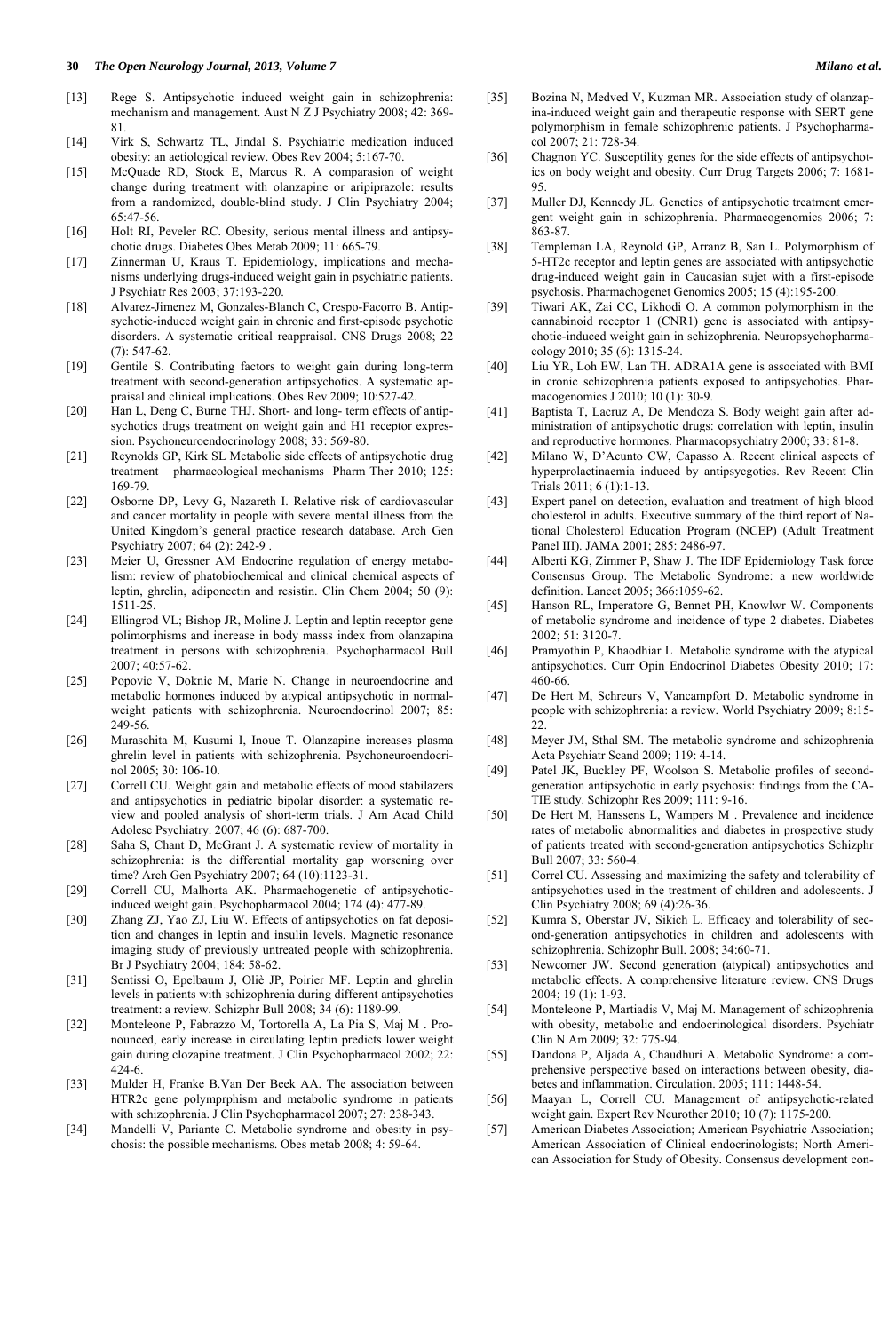#### **30** *The Open Neurology Journal, 2013, Volume 7 Milano et al.*

- [13] Rege S. Antipsychotic induced weight gain in schizophrenia: mechanism and management. Aust N Z J Psychiatry 2008; 42: 369- 81.
- [14] Virk S, Schwartz TL, Jindal S. Psychiatric medication induced obesity: an aetiological review. Obes Rev 2004; 5:167-70.
- [15] McQuade RD, Stock E, Marcus R. A comparasion of weight change during treatment with olanzapine or aripiprazole: results from a randomized, double-blind study. J Clin Psychiatry 2004; 65:47-56.
- [16] Holt RI, Peveler RC. Obesity, serious mental illness and antipsychotic drugs. Diabetes Obes Metab 2009; 11: 665-79.
- [17] Zinnerman U, Kraus T. Epidemiology, implications and mechanisms underlying drugs-induced weight gain in psychiatric patients. J Psychiatr Res 2003; 37:193-220.
- [18] Alvarez-Jimenez M, Gonzales-Blanch C, Crespo-Facorro B. Antipsychotic-induced weight gain in chronic and first-episode psychotic disorders. A systematic critical reappraisal. CNS Drugs 2008; 22 (7): 547-62.
- [19] Gentile S. Contributing factors to weight gain during long-term treatment with second-generation antipsychotics. A systematic appraisal and clinical implications. Obes Rev 2009; 10:527-42.
- [20] Han L, Deng C, Burne THJ. Short- and long- term effects of antipsychotics drugs treatment on weight gain and H1 receptor expression. Psychoneuroendocrinology 2008; 33: 569-80.
- [21] Reynolds GP, Kirk SL Metabolic side effects of antipsychotic drug treatment – pharmacological mechanisms Pharm Ther 2010; 125: 169-79.
- [22] Osborne DP, Levy G, Nazareth I. Relative risk of cardiovascular and cancer mortality in people with severe mental illness from the United Kingdom's general practice research database. Arch Gen Psychiatry 2007; 64 (2): 242-9 .
- [23] Meier U, Gressner AM Endocrine regulation of energy metabolism: review of phatobiochemical and clinical chemical aspects of leptin, ghrelin, adiponectin and resistin. Clin Chem 2004; 50 (9): 1511-25.
- [24] Ellingrod VL; Bishop JR, Moline J. Leptin and leptin receptor gene polimorphisms and increase in body masss index from olanzapina treatment in persons with schizophrenia. Psychopharmacol Bull 2007; 40:57-62.
- [25] Popovic V, Doknic M, Marie N. Change in neuroendocrine and metabolic hormones induced by atypical antipsychotic in normalweight patients with schizophrenia. Neuroendocrinol 2007; 85: 249-56.
- [26] Muraschita M, Kusumi I, Inoue T. Olanzapine increases plasma ghrelin level in patients with schizophrenia. Psychoneuroendocrinol 2005; 30: 106-10.
- [27] Correll CU. Weight gain and metabolic effects of mood stabilazers and antipsychotics in pediatric bipolar disorder: a systematic review and pooled analysis of short-term trials. J Am Acad Child Adolesc Psychiatry. 2007; 46 (6): 687-700.
- [28] Saha S, Chant D, McGrant J. A systematic review of mortality in schizophrenia: is the differential mortality gap worsening over time? Arch Gen Psychiatry 2007; 64 (10):1123-31.
- [29] Correll CU, Malhorta AK. Pharmachogenetic of antipsychoticinduced weight gain. Psychopharmacol 2004; 174 (4): 477-89.
- [30] Zhang ZJ, Yao ZJ, Liu W. Effects of antipsychotics on fat deposition and changes in leptin and insulin levels. Magnetic resonance imaging study of previously untreated people with schizophrenia. Br J Psychiatry 2004; 184: 58-62.
- [31] Sentissi O, Epelbaum J, Oliè JP, Poirier MF. Leptin and ghrelin levels in patients with schizophrenia during different antipsychotics treatment: a review. Schizphr Bull 2008; 34 (6): 1189-99.
- [32] Monteleone P, Fabrazzo M, Tortorella A, La Pia S, Maj M . Pronounced, early increase in circulating leptin predicts lower weight gain during clozapine treatment. J Clin Psychopharmacol 2002; 22: 424-6.
- [33] Mulder H, Franke B.Van Der Beek AA. The association between HTR2c gene polymprphism and metabolic syndrome in patients with schizophrenia. J Clin Psychopharmacol 2007; 27: 238-343.
- [34] Mandelli V, Pariante C. Metabolic syndrome and obesity in psychosis: the possible mechanisms. Obes metab 2008; 4: 59-64.
- [35] Bozina N, Medved V, Kuzman MR. Association study of olanzapina-induced weight gain and therapeutic response with SERT gene polymorphism in female schizophrenic patients. J Psychopharmacol 2007; 21: 728-34.
- [36] Chagnon YC. Susceptility genes for the side effects of antipsychotics on body weight and obesity. Curr Drug Targets 2006; 7: 1681- 95.
- [37] Muller DJ, Kennedy JL. Genetics of antipsychotic treatment emergent weight gain in schizophrenia. Pharmacogenomics 2006; 7: 863-87.
- [38] Templeman LA, Reynold GP, Arranz B, San L. Polymorphism of 5-HT2c receptor and leptin genes are associated with antipsychotic drug-induced weight gain in Caucasian sujet with a first-episode psychosis. Pharmachogenet Genomics 2005; 15 (4):195-200.
- [39] Tiwari AK, Zai CC, Likhodi O. A common polymorphism in the cannabinoid receptor 1 (CNR1) gene is associated with antipsychotic-induced weight gain in schizophrenia. Neuropsychopharmacology 2010; 35 (6): 1315-24.
- [40] Liu YR, Loh EW, Lan TH. ADRA1A gene is associated with BMI in cronic schizophrenia patients exposed to antipsychotics. Pharmacogenomics J 2010; 10 (1): 30-9.
- [41] Baptista T, Lacruz A, De Mendoza S. Body weight gain after administration of antipsychotic drugs: correlation with leptin, insulin and reproductive hormones. Pharmacopsychiatry 2000; 33: 81-8.
- [42] Milano W, D'Acunto CW, Capasso A. Recent clinical aspects of hyperprolactinaemia induced by antipsycgotics. Rev Recent Clin Trials 2011; 6 (1):1-13.
- [43] Expert panel on detection, evaluation and treatment of high blood cholesterol in adults. Executive summary of the third report of National Cholesterol Education Program (NCEP) (Adult Treatment Panel III). JAMA 2001; 285: 2486-97.
- [44] Alberti KG, Zimmer P, Shaw J. The IDF Epidemiology Task force Consensus Group. The Metabolic Syndrome: a new worldwide definition. Lancet 2005; 366:1059-62.
- [45] Hanson RL, Imperatore G, Bennet PH, Knowlwr W. Components of metabolic syndrome and incidence of type 2 diabetes. Diabetes 2002; 51: 3120-7.
- [46] Pramyothin P, Khaodhiar L .Metabolic syndrome with the atypical antipsychotics. Curr Opin Endocrinol Diabetes Obesity 2010; 17: 460-66.
- [47] De Hert M, Schreurs V, Vancampfort D. Metabolic syndrome in people with schizophrenia: a review. World Psychiatry 2009; 8:15- 22.
- [48] Meyer JM, Sthal SM. The metabolic syndrome and schizophrenia Acta Psychiatr Scand 2009; 119: 4-14.
- [49] Patel JK, Buckley PF, Woolson S. Metabolic profiles of secondgeneration antipsychotic in early psychosis: findings from the CA-TIE study. Schizophr Res 2009; 111: 9-16.
- [50] De Hert M, Hanssens L, Wampers M . Prevalence and incidence rates of metabolic abnormalities and diabetes in prospective study of patients treated with second-generation antipsychotics Schizphr Bull 2007; 33: 560-4.
- [51] Correl CU. Assessing and maximizing the safety and tolerability of antipsychotics used in the treatment of children and adolescents. J Clin Psychiatry 2008; 69 (4):26-36.
- [52] Kumra S, Oberstar JV, Sikich L. Efficacy and tolerability of second-generation antipsychotics in children and adolescents with schizophrenia. Schizophr Bull. 2008; 34:60-71.
- [53] Newcomer JW. Second generation (atypical) antipsychotics and metabolic effects. A comprehensive literature review. CNS Drugs 2004; 19 (1): 1-93.
- [54] Monteleone P, Martiadis V, Maj M. Management of schizophrenia with obesity, metabolic and endocrinological disorders. Psychiatr Clin N Am 2009; 32: 775-94.
- [55] Dandona P, Aljada A, Chaudhuri A. Metabolic Syndrome: a comprehensive perspective based on interactions between obesity, diabetes and inflammation. Circulation. 2005; 111: 1448-54.
- [56] Maayan L, Correll CU. Management of antipsychotic-related weight gain. Expert Rev Neurother 2010; 10 (7): 1175-200.
- [57] American Diabetes Association; American Psychiatric Association; American Association of Clinical endocrinologists; North American Association for Study of Obesity. Consensus development con-